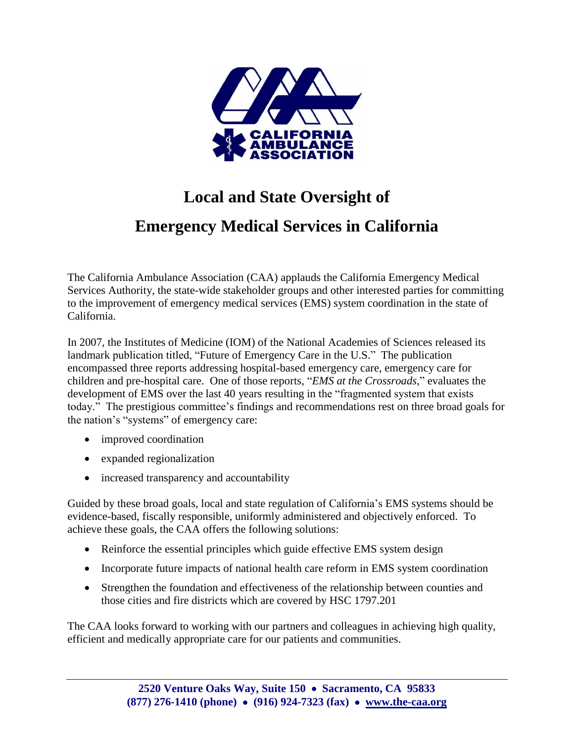

# **Local and State Oversight of**

## **Emergency Medical Services in California**

The California Ambulance Association (CAA) applauds the California Emergency Medical Services Authority, the state-wide stakeholder groups and other interested parties for committing to the improvement of emergency medical services (EMS) system coordination in the state of California.

In 2007, the Institutes of Medicine (IOM) of the National Academies of Sciences released its landmark publication titled, "Future of Emergency Care in the U.S." The publication encompassed three reports addressing hospital-based emergency care, emergency care for children and pre-hospital care. One of those reports, "*EMS at the Crossroads*," evaluates the development of EMS over the last 40 years resulting in the "fragmented system that exists today." The prestigious committee's findings and recommendations rest on three broad goals for the nation's "systems" of emergency care:

- improved coordination
- expanded regionalization
- increased transparency and accountability

Guided by these broad goals, local and state regulation of California's EMS systems should be evidence-based, fiscally responsible, uniformly administered and objectively enforced. To achieve these goals, the CAA offers the following solutions:

- Reinforce the essential principles which guide effective EMS system design
- Incorporate future impacts of national health care reform in EMS system coordination
- Strengthen the foundation and effectiveness of the relationship between counties and those cities and fire districts which are covered by HSC 1797.201

The CAA looks forward to working with our partners and colleagues in achieving high quality, efficient and medically appropriate care for our patients and communities.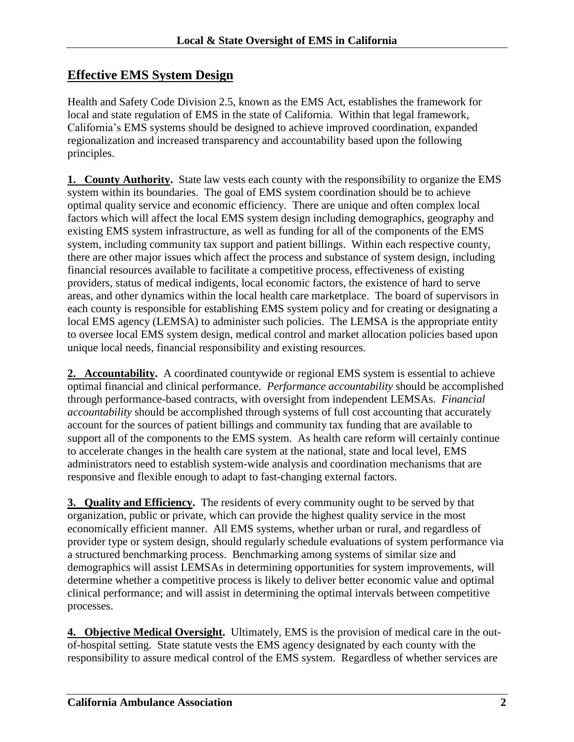#### **Effective EMS System Design**

Health and Safety Code Division 2.5, known as the EMS Act, establishes the framework for local and state regulation of EMS in the state of California. Within that legal framework, California's EMS systems should be designed to achieve improved coordination, expanded regionalization and increased transparency and accountability based upon the following principles.

**1. County Authority.** State law vests each county with the responsibility to organize the EMS system within its boundaries. The goal of EMS system coordination should be to achieve optimal quality service and economic efficiency. There are unique and often complex local factors which will affect the local EMS system design including demographics, geography and existing EMS system infrastructure, as well as funding for all of the components of the EMS system, including community tax support and patient billings. Within each respective county, there are other major issues which affect the process and substance of system design, including financial resources available to facilitate a competitive process, effectiveness of existing providers, status of medical indigents, local economic factors, the existence of hard to serve areas, and other dynamics within the local health care marketplace. The board of supervisors in each county is responsible for establishing EMS system policy and for creating or designating a local EMS agency (LEMSA) to administer such policies. The LEMSA is the appropriate entity to oversee local EMS system design, medical control and market allocation policies based upon unique local needs, financial responsibility and existing resources.

**2. Accountability.** A coordinated countywide or regional EMS system is essential to achieve optimal financial and clinical performance. *Performance accountability* should be accomplished through performance-based contracts, with oversight from independent LEMSAs. *Financial accountability* should be accomplished through systems of full cost accounting that accurately account for the sources of patient billings and community tax funding that are available to support all of the components to the EMS system. As health care reform will certainly continue to accelerate changes in the health care system at the national, state and local level, EMS administrators need to establish system-wide analysis and coordination mechanisms that are responsive and flexible enough to adapt to fast-changing external factors.

**3. Quality and Efficiency.** The residents of every community ought to be served by that organization, public or private, which can provide the highest quality service in the most economically efficient manner. All EMS systems, whether urban or rural, and regardless of provider type or system design, should regularly schedule evaluations of system performance via a structured benchmarking process. Benchmarking among systems of similar size and demographics will assist LEMSAs in determining opportunities for system improvements, will determine whether a competitive process is likely to deliver better economic value and optimal clinical performance; and will assist in determining the optimal intervals between competitive processes.

**4. Objective Medical Oversight.** Ultimately, EMS is the provision of medical care in the outof-hospital setting. State statute vests the EMS agency designated by each county with the responsibility to assure medical control of the EMS system. Regardless of whether services are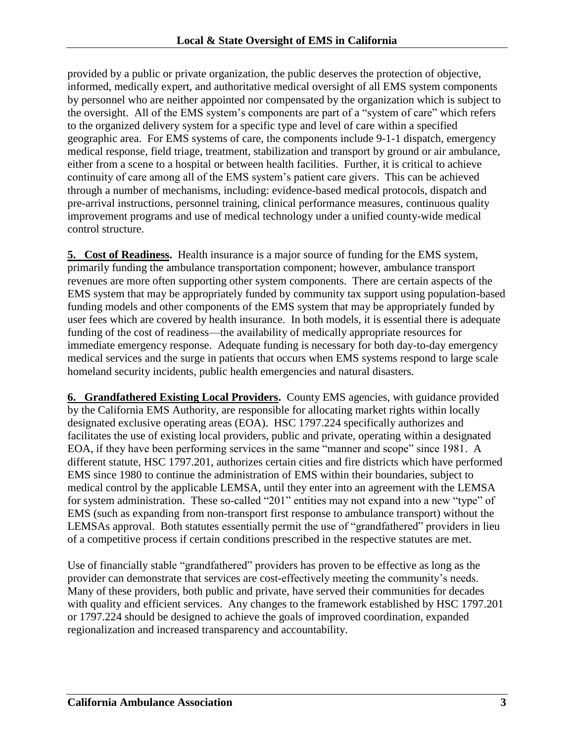provided by a public or private organization, the public deserves the protection of objective, informed, medically expert, and authoritative medical oversight of all EMS system components by personnel who are neither appointed nor compensated by the organization which is subject to the oversight. All of the EMS system's components are part of a "system of care" which refers to the organized delivery system for a specific type and level of care within a specified geographic area. For EMS systems of care, the components include 9-1-1 dispatch, emergency medical response, field triage, treatment, stabilization and transport by ground or air ambulance, either from a scene to a hospital or between health facilities. Further, it is critical to achieve continuity of care among all of the EMS system's patient care givers. This can be achieved through a number of mechanisms, including: evidence-based medical protocols, dispatch and pre-arrival instructions, personnel training, clinical performance measures, continuous quality improvement programs and use of medical technology under a unified county-wide medical control structure.

**5. Cost of Readiness.** Health insurance is a major source of funding for the EMS system, primarily funding the ambulance transportation component; however, ambulance transport revenues are more often supporting other system components. There are certain aspects of the EMS system that may be appropriately funded by community tax support using population-based funding models and other components of the EMS system that may be appropriately funded by user fees which are covered by health insurance. In both models, it is essential there is adequate funding of the cost of readiness—the availability of medically appropriate resources for immediate emergency response. Adequate funding is necessary for both day-to-day emergency medical services and the surge in patients that occurs when EMS systems respond to large scale homeland security incidents, public health emergencies and natural disasters.

**6. Grandfathered Existing Local Providers.** County EMS agencies, with guidance provided by the California EMS Authority, are responsible for allocating market rights within locally designated exclusive operating areas (EOA). HSC 1797.224 specifically authorizes and facilitates the use of existing local providers, public and private, operating within a designated EOA, if they have been performing services in the same "manner and scope" since 1981. A different statute, HSC 1797.201, authorizes certain cities and fire districts which have performed EMS since 1980 to continue the administration of EMS within their boundaries, subject to medical control by the applicable LEMSA, until they enter into an agreement with the LEMSA for system administration. These so-called "201" entities may not expand into a new "type" of EMS (such as expanding from non-transport first response to ambulance transport) without the LEMSAs approval. Both statutes essentially permit the use of "grandfathered" providers in lieu of a competitive process if certain conditions prescribed in the respective statutes are met.

Use of financially stable "grandfathered" providers has proven to be effective as long as the provider can demonstrate that services are cost-effectively meeting the community's needs. Many of these providers, both public and private, have served their communities for decades with quality and efficient services. Any changes to the framework established by HSC 1797.201 or 1797.224 should be designed to achieve the goals of improved coordination, expanded regionalization and increased transparency and accountability.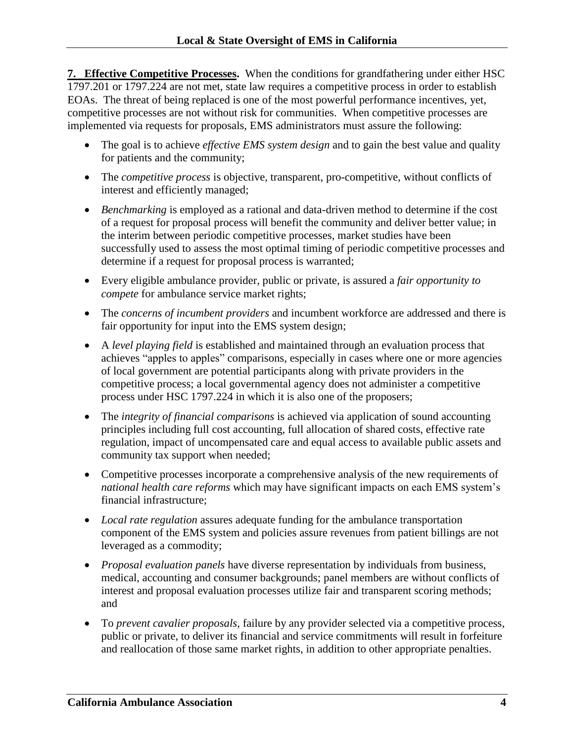**7. Effective Competitive Processes.** When the conditions for grandfathering under either HSC 1797.201 or 1797.224 are not met, state law requires a competitive process in order to establish EOAs. The threat of being replaced is one of the most powerful performance incentives, yet, competitive processes are not without risk for communities. When competitive processes are implemented via requests for proposals, EMS administrators must assure the following:

- The goal is to achieve *effective EMS* system *design* and to gain the best value and quality for patients and the community;
- The *competitive process* is objective, transparent, pro-competitive, without conflicts of interest and efficiently managed;
- *Benchmarking* is employed as a rational and data-driven method to determine if the cost of a request for proposal process will benefit the community and deliver better value; in the interim between periodic competitive processes, market studies have been successfully used to assess the most optimal timing of periodic competitive processes and determine if a request for proposal process is warranted;
- Every eligible ambulance provider, public or private, is assured a *fair opportunity to compete* for ambulance service market rights;
- The *concerns of incumbent providers* and incumbent workforce are addressed and there is fair opportunity for input into the EMS system design;
- A *level playing field* is established and maintained through an evaluation process that achieves "apples to apples" comparisons, especially in cases where one or more agencies of local government are potential participants along with private providers in the competitive process; a local governmental agency does not administer a competitive process under HSC 1797.224 in which it is also one of the proposers;
- The *integrity of financial comparisons* is achieved via application of sound accounting principles including full cost accounting, full allocation of shared costs, effective rate regulation, impact of uncompensated care and equal access to available public assets and community tax support when needed;
- Competitive processes incorporate a comprehensive analysis of the new requirements of *national health care reforms* which may have significant impacts on each EMS system's financial infrastructure;
- *Local rate regulation* assures adequate funding for the ambulance transportation component of the EMS system and policies assure revenues from patient billings are not leveraged as a commodity;
- *Proposal evaluation panels* have diverse representation by individuals from business, medical, accounting and consumer backgrounds; panel members are without conflicts of interest and proposal evaluation processes utilize fair and transparent scoring methods; and
- To *prevent cavalier proposals*, failure by any provider selected via a competitive process, public or private, to deliver its financial and service commitments will result in forfeiture and reallocation of those same market rights, in addition to other appropriate penalties.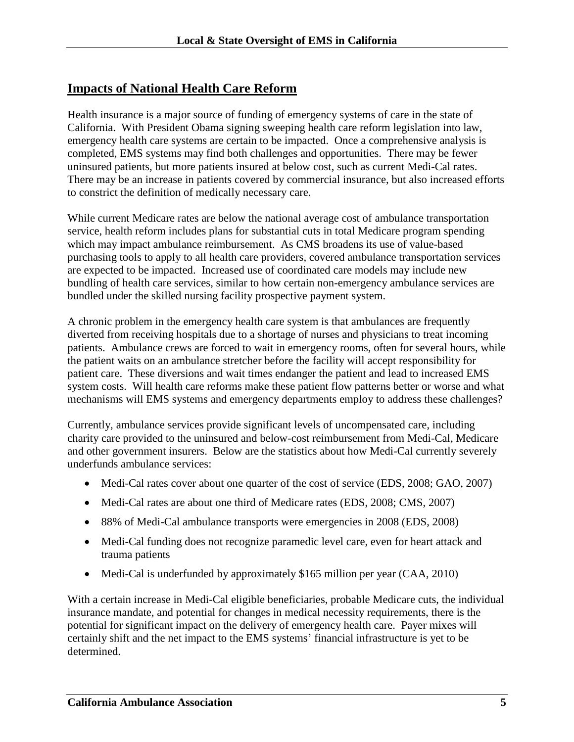#### **Impacts of National Health Care Reform**

Health insurance is a major source of funding of emergency systems of care in the state of California. With President Obama signing sweeping health care reform legislation into law, emergency health care systems are certain to be impacted. Once a comprehensive analysis is completed, EMS systems may find both challenges and opportunities. There may be fewer uninsured patients, but more patients insured at below cost, such as current Medi-Cal rates. There may be an increase in patients covered by commercial insurance, but also increased efforts to constrict the definition of medically necessary care.

While current Medicare rates are below the national average cost of ambulance transportation service, health reform includes plans for substantial cuts in total Medicare program spending which may impact ambulance reimbursement. As CMS broadens its use of value-based purchasing tools to apply to all health care providers, covered ambulance transportation services are expected to be impacted. Increased use of coordinated care models may include new bundling of health care services, similar to how certain non-emergency ambulance services are bundled under the skilled nursing facility prospective payment system.

A chronic problem in the emergency health care system is that ambulances are frequently diverted from receiving hospitals due to a shortage of nurses and physicians to treat incoming patients. Ambulance crews are forced to wait in emergency rooms, often for several hours, while the patient waits on an ambulance stretcher before the facility will accept responsibility for patient care. These diversions and wait times endanger the patient and lead to increased EMS system costs. Will health care reforms make these patient flow patterns better or worse and what mechanisms will EMS systems and emergency departments employ to address these challenges?

Currently, ambulance services provide significant levels of uncompensated care, including charity care provided to the uninsured and below-cost reimbursement from Medi-Cal, Medicare and other government insurers. Below are the statistics about how Medi-Cal currently severely underfunds ambulance services:

- Medi-Cal rates cover about one quarter of the cost of service (EDS, 2008; GAO, 2007)
- Medi-Cal rates are about one third of Medicare rates (EDS, 2008; CMS, 2007)
- 88% of Medi-Cal ambulance transports were emergencies in 2008 (EDS, 2008)
- Medi-Cal funding does not recognize paramedic level care, even for heart attack and trauma patients
- Medi-Cal is underfunded by approximately \$165 million per year (CAA, 2010)

With a certain increase in Medi-Cal eligible beneficiaries, probable Medicare cuts, the individual insurance mandate, and potential for changes in medical necessity requirements, there is the potential for significant impact on the delivery of emergency health care. Payer mixes will certainly shift and the net impact to the EMS systems' financial infrastructure is yet to be determined.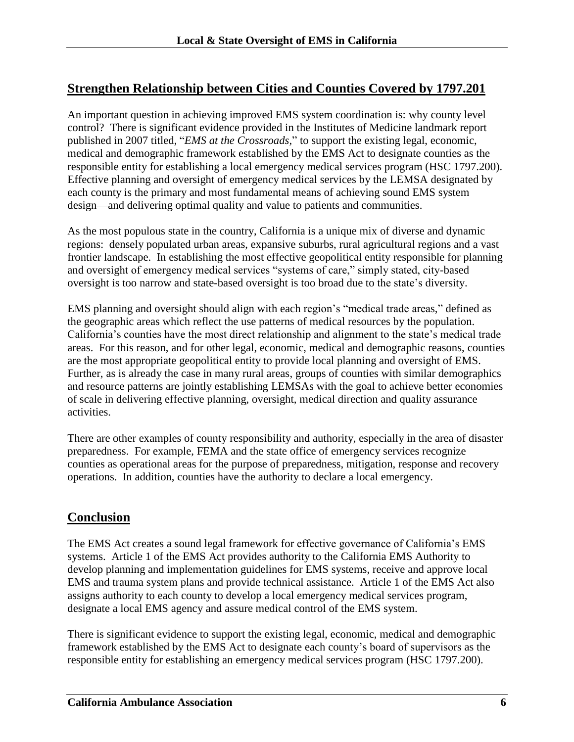#### **Strengthen Relationship between Cities and Counties Covered by 1797.201**

An important question in achieving improved EMS system coordination is: why county level control? There is significant evidence provided in the Institutes of Medicine landmark report published in 2007 titled, "*EMS at the Crossroads,*" to support the existing legal, economic, medical and demographic framework established by the EMS Act to designate counties as the responsible entity for establishing a local emergency medical services program (HSC 1797.200). Effective planning and oversight of emergency medical services by the LEMSA designated by each county is the primary and most fundamental means of achieving sound EMS system design—and delivering optimal quality and value to patients and communities.

As the most populous state in the country, California is a unique mix of diverse and dynamic regions: densely populated urban areas, expansive suburbs, rural agricultural regions and a vast frontier landscape. In establishing the most effective geopolitical entity responsible for planning and oversight of emergency medical services "systems of care," simply stated, city-based oversight is too narrow and state-based oversight is too broad due to the state's diversity.

EMS planning and oversight should align with each region's "medical trade areas," defined as the geographic areas which reflect the use patterns of medical resources by the population. California's counties have the most direct relationship and alignment to the state's medical trade areas. For this reason, and for other legal, economic, medical and demographic reasons, counties are the most appropriate geopolitical entity to provide local planning and oversight of EMS. Further, as is already the case in many rural areas, groups of counties with similar demographics and resource patterns are jointly establishing LEMSAs with the goal to achieve better economies of scale in delivering effective planning, oversight, medical direction and quality assurance activities.

There are other examples of county responsibility and authority, especially in the area of disaster preparedness. For example, FEMA and the state office of emergency services recognize counties as operational areas for the purpose of preparedness, mitigation, response and recovery operations. In addition, counties have the authority to declare a local emergency.

#### **Conclusion**

The EMS Act creates a sound legal framework for effective governance of California's EMS systems. Article 1 of the EMS Act provides authority to the California EMS Authority to develop planning and implementation guidelines for EMS systems, receive and approve local EMS and trauma system plans and provide technical assistance. Article 1 of the EMS Act also assigns authority to each county to develop a local emergency medical services program, designate a local EMS agency and assure medical control of the EMS system.

There is significant evidence to support the existing legal, economic, medical and demographic framework established by the EMS Act to designate each county's board of supervisors as the responsible entity for establishing an emergency medical services program (HSC 1797.200).